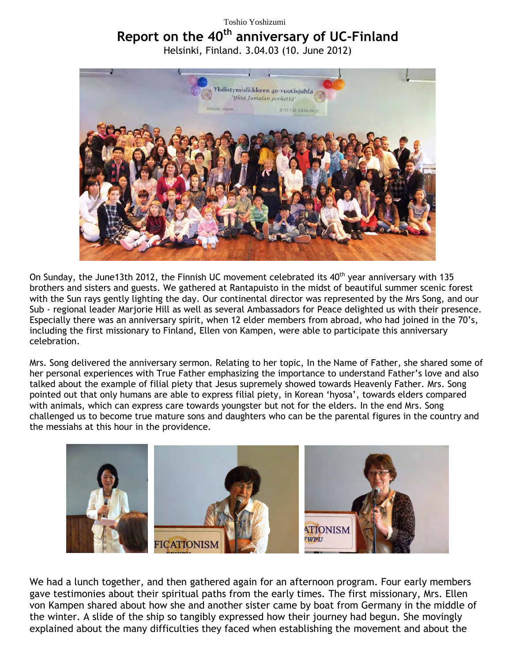## Toshio Yoshizumi

## **Report on the 40th anniversary of UC-Finland**

Helsinki, Finland. 3.04.03 (10. June 2012)



On Sunday, the June13th 2012, the Finnish UC movement celebrated its  $40<sup>th</sup>$  year anniversary with 135 brothers and sisters and guests. We gathered at Rantapuisto in the midst of beautiful summer scenic forest with the Sun rays gently lighting the day. Our continental director was represented by the Mrs Song, and our Sub - regional leader Marjorie Hill as well as several Ambassadors for Peace delighted us with their presence. Especially there was an anniversary spirit, when 12 elder members from abroad, who had joined in the 70's, including the first missionary to Finland, Ellen von Kampen, were able to participate this anniversary celebration.

Mrs. Song delivered the anniversary sermon. Relating to her topic, In the Name of Father, she shared some of her personal experiences with True Father emphasizing the importance to understand Father's love and also talked about the example of filial piety that Jesus supremely showed towards Heavenly Father. Mrs. Song pointed out that only humans are able to express filial piety, in Korean 'hyosa', towards elders compared with animals, which can express care towards youngster but not for the elders. In the end Mrs. Song challenged us to become true mature sons and daughters who can be the parental figures in the country and the messiahs at this hour in the providence.



We had a lunch together, and then gathered again for an afternoon program. Four early members gave testimonies about their spiritual paths from the early times. The first missionary, Mrs. Ellen von Kampen shared about how she and another sister came by boat from Germany in the middle of the winter. A slide of the ship so tangibly expressed how their journey had begun. She movingly explained about the many difficulties they faced when establishing the movement and about the